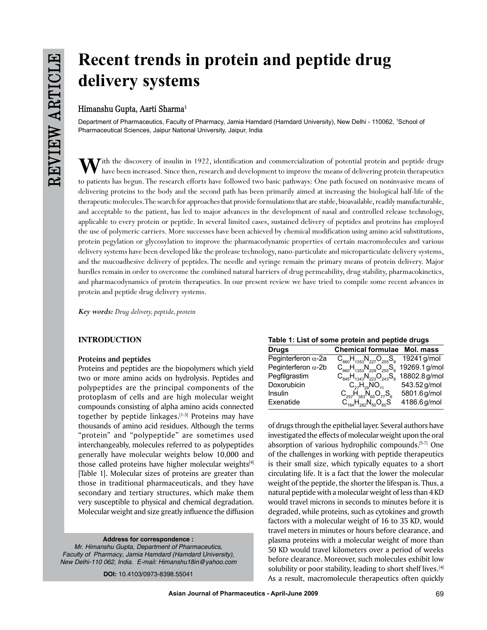# **Recent trends in protein and peptide drug delivery systems**

# **Himanshu Gupta, Aarti Sharma1**

Department of Pharmaceutics, Faculty of Pharmacy, Jamia Hamdard (Hamdard University), New Delhi - 110062, 1 School of Pharmaceutical Sciences, Jaipur National University, Jaipur, India

With the discovery of insulin in 1922, identification and commercialization of potential protein and peptide drugs have been increased. Since then, research and development to improve the means of delivering protein therapeutics to patients has begun. The research efforts have followed two basic pathways: One path focused on noninvasive means of delivering proteins to the body and the second path has been primarily aimed at increasing the biological half-life of the therapeutic molecules. The search for approaches that provide formulations that are stable, bioavailable, readily manufacturable, and acceptable to the patient, has led to major advances in the development of nasal and controlled release technology, applicable to every protein or peptide. In several limited cases, sustained delivery of peptides and proteins has employed the use of polymeric carriers. More successes have been achieved by chemical modification using amino acid substitutions, protein pegylation or glycosylation to improve the pharmacodynamic properties of certain macromolecules and various delivery systems have been developed like the prolease technology, nano-particulate and microparticulate delivery systems, and the mucoadhesive delivery of peptides. The needle and syringe remain the primary means of protein delivery. Major hurdles remain in order to overcome the combined natural barriers of drug permeability, drug stability, pharmacokinetics, and pharmacodynamics of protein therapeutics. In our present review we have tried to compile some recent advances in protein and peptide drug delivery systems.

*Key words: Drug delivery, peptide, protein*

#### **INTRODUCTION**

#### **Proteins and peptides**

Proteins and peptides are the biopolymers which yield two or more amino acids on hydrolysis. Peptides and polypeptides are the principal components of the protoplasm of cells and are high molecular weight compounds consisting of alpha amino acids connected together by peptide linkages.[1-3] Proteins may have thousands of amino acid residues. Although the terms "protein" and "polypeptide" are sometimes used interchangeably, molecules referred to as polypeptides generally have molecular weights below 10,000 and those called proteins have higher molecular weights[4] [Table 1]. Molecular sizes of proteins are greater than those in traditional pharmaceuticals, and they have secondary and tertiary structures, which make them very susceptible to physical and chemical degradation. Molecular weight and size greatly influence the diffusion

#### **Address for correspondence :**

*Mr. Himanshu Gupta, Department of Pharmaceutics, Faculty of Pharmacy, Jamia Hamdard (Hamdard University), New Delhi-110 062, India. E-mail: Himanshu18in@yahoo.com*

**DOI:** 10.4103/0973-8398.55041

**Table 1: List of some protein and peptide drugs**

| <b>Drugs</b>               | Chemical formulae Mol. mass          |               |
|----------------------------|--------------------------------------|---------------|
| Peginterferon $\alpha$ -2a | $C_{860}H_{1353}N_{227}O_{255}S_{9}$ | 19241 g/mol   |
| Peginterferon $\alpha$ -2b | $C_{860}H_{1353}N_{229}O_{255}S_{9}$ | 19269.1 g/mol |
| Pegfilgrastim              | $C_{845}H_{1343}N_{223}O_{243}S_{9}$ | 18802.8 g/mol |
| Doxorubicin                | $C_{27}H_{29}NO_{11}$                | 543.52 g/mol  |
| Insulin                    | $C_{257}H_{383}N_{65}O_{77}S_{6}$    | 5801.6g/mol   |
| Exenatide                  | $C_{184}H_{282}N_{50}O_{60}S$        | 4186.6g/mol   |

of drugs through the epithelial layer. Several authors have investigated the effects of molecular weight upon the oral absorption of various hydrophilic compounds.[5-7] One of the challenges in working with peptide therapeutics is their small size, which typically equates to a short circulating life. It is a fact that the lower the molecular weight of the peptide, the shorter the lifespan is. Thus, a natural peptide with a molecular weight of less than 4 KD would travel microns in seconds to minutes before it is degraded, while proteins, such as cytokines and growth factors with a molecular weight of 16 to 35 KD, would travel meters in minutes or hours before clearance, and plasma proteins with a molecular weight of more than 50 KD would travel kilometers over a period of weeks before clearance. Moreover, such molecules exhibit low solubility or poor stability, leading to short shelf lives.<sup>[4]</sup> As a result, macromolecule therapeutics often quickly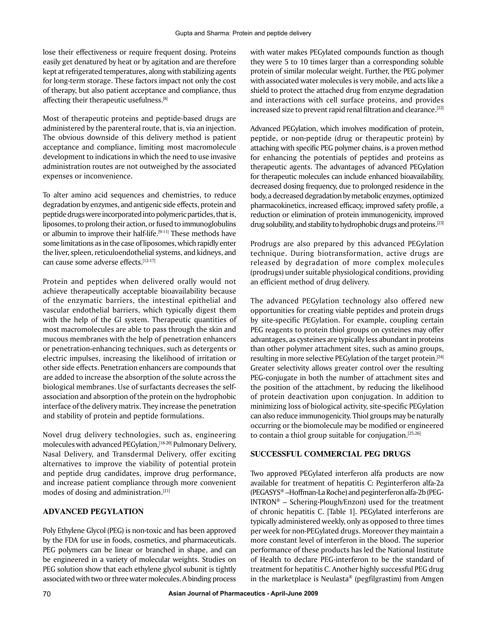lose their effectiveness or require frequent dosing. Proteins easily get denatured by heat or by agitation and are therefore kept at refrigerated temperatures, along with stabilizing agents for long-term storage. These factors impact not only the cost of therapy, but also patient acceptance and compliance, thus affecting their therapeutic usefulness.<sup>[8]</sup>

Most of therapeutic proteins and peptide-based drugs are administered by the parenteral route, that is, via an injection. The obvious downside of this delivery method is patient acceptance and compliance, limiting most macromolecule development to indications in which the need to use invasive administration routes are not outweighed by the associated expenses or inconvenience.

To alter amino acid sequences and chemistries, to reduce degradation by enzymes, and antigenic side effects, protein and peptide drugs were incorporated into polymeric particles, that is, liposomes, to prolong their action, or fused to immunoglobulins or albumin to improve their half-life.<sup>[9-11]</sup> These methods have some limitations as in the case of liposomes, which rapidly enter the liver, spleen, reticuloendothelial systems, and kidneys, and can cause some adverse effects.[12-17]

Protein and peptides when delivered orally would not achieve therapeutically acceptable bioavailability because of the enzymatic barriers, the intestinal epithelial and vascular endothelial barriers, which typically digest them with the help of the GI system. Therapeutic quantities of most macromolecules are able to pass through the skin and mucous membranes with the help of penetration enhancers or penetration-enhancing techniques, such as detergents or electric impulses, increasing the likelihood of irritation or other side effects. Penetration enhancers are compounds that are added to increase the absorption of the solute across the biological membranes. Use of surfactants decreases the selfassociation and absorption of the protein on the hydrophobic interface of the delivery matrix. They increase the penetration and stability of protein and peptide formulations.

Novel drug delivery technologies, such as, engineering molecules with advanced PEGylation, <a>[18-20]</a> Pulmonary Delivery, Nasal Delivery, and Transdermal Delivery, offer exciting alternatives to improve the viability of potential protein and peptide drug candidates, improve drug performance, and increase patient compliance through more convenient modes of dosing and administration.[21]

### **ADVANCED PEGYLATION**

Poly Ethylene Glycol (PEG) is non-toxic and has been approved by the FDA for use in foods, cosmetics, and pharmaceuticals. PEG polymers can be linear or branched in shape, and can be engineered in a variety of molecular weights. Studies on PEG solution show that each ethylene glycol subunit is tightly associated with two or three water molecules. A binding process with water makes PEGylated compounds function as though they were 5 to 10 times larger than a corresponding soluble protein of similar molecular weight. Further, the PEG polymer with associated water molecules is very mobile, and acts like a shield to protect the attached drug from enzyme degradation and interactions with cell surface proteins, and provides increased size to prevent rapid renal filtration and clearance.<sup>[22]</sup>

Advanced PEGylation, which involves modification of protein, peptide, or non-peptide (drug or therapeutic protein) by attaching with specific PEG polymer chains, is a proven method for enhancing the potentials of peptides and proteins as therapeutic agents. The advantages of advanced PEGylation for therapeutic molecules can include enhanced bioavailability, decreased dosing frequency, due to prolonged residence in the body, a decreased degradation by metabolic enzymes, optimized pharmacokinetics, increased efficacy, improved safety profile, a reduction or elimination of protein immunogenicity, improved drug solubility, and stability to hydrophobic drugs and proteins.[23]

Prodrugs are also prepared by this advanced PEGylation technique. During biotransformation, active drugs are released by degradation of more complex molecules (prodrugs) under suitable physiological conditions, providing an efficient method of drug delivery.

The advanced PEGylation technology also offered new opportunities for creating viable peptides and protein drugs by site-specific PEGylation. For example, coupling certain PEG reagents to protein thiol groups on cysteines may offer advantages, as cysteines are typically less abundant in proteins than other polymer attachment sites, such as amino groups, resulting in more selective PEGylation of the target protein.<sup>[24]</sup> Greater selectivity allows greater control over the resulting PEG-conjugate in both the number of attachment sites and the position of the attachment, by reducing the likelihood of protein deactivation upon conjugation. In addition to minimizing loss of biological activity, site-specific PEGylation can also reduce immunogenicity. Thiol groups may be naturally occurring or the biomolecule may be modified or engineered to contain a thiol group suitable for conjugation.[25,26]

### **SUCCESSFUL COMMERCIAL PEG DRUGS**

Two approved PEGylated interferon alfa products are now available for treatment of hepatitis C: Peginterferon alfa-2a (PEGASYS® –Hoffman-La Roche) and peginterferon alfa-2b (PEG-INTRON® – Schering-Plough/Enzon) used for the treatment of chronic hepatitis C. [Table 1]. PEGylated interferons are typically administered weekly, only as opposed to three times per week for non-PEGylated drugs. Moreover they maintain a more constant level of interferon in the blood. The superior performance of these products has led the National Institute of Health to declare PEG-interferon to be the standard of treatment for hepatitis C. Another highly successful PEG drug in the marketplace is Neulasta® (pegfilgrastim) from Amgen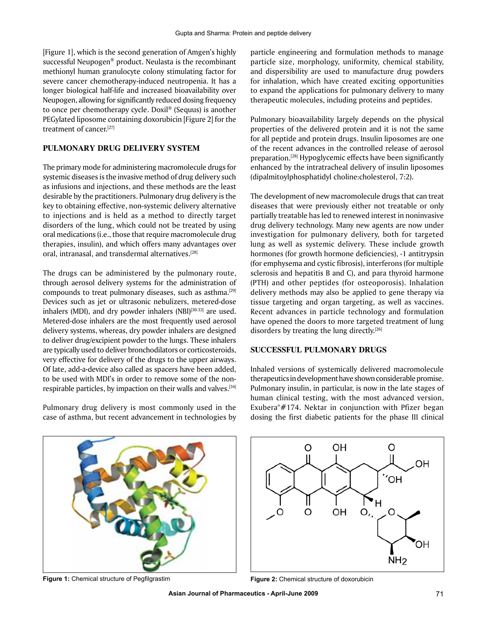[Figure 1], which is the second generation of Amgen's highly successful Neupogen® product. Neulasta is the recombinant methionyl human granulocyte colony stimulating factor for severe cancer chemotherapy-induced neutropenia. It has a longer biological half-life and increased bioavailability over Neupogen, allowing for significantly reduced dosing frequency to once per chemotherapy cycle. Doxil® (Sequus) is another PEGylated liposome containing doxorubicin [Figure 2] for the treatment of cancer.[27]

#### **PULMONARY DRUG DELIVERY SYSTEM**

The primary mode for administering macromolecule drugs for systemic diseases is the invasive method of drug delivery such as infusions and injections, and these methods are the least desirable by the practitioners. Pulmonary drug delivery is the key to obtaining effective, non-systemic delivery alternative to injections and is held as a method to directly target disorders of the lung, which could not be treated by using oral medications (i.e., those that require macromolecule drug therapies, insulin), and which offers many advantages over oral, intranasal, and transdermal alternatives.[28]

The drugs can be administered by the pulmonary route, through aerosol delivery systems for the administration of compounds to treat pulmonary diseases, such as asthma.[29] Devices such as jet or ultrasonic nebulizers, metered-dose inhalers (MDI), and dry powder inhalers (NBI) $[30-33]$  are used. Metered-dose inhalers are the most frequently used aerosol delivery systems, whereas, dry powder inhalers are designed to deliver drug/excipient powder to the lungs. These inhalers are typically used to deliver bronchodilators or corticosteroids, very effective for delivery of the drugs to the upper airways. Of late, add-a-device also called as spacers have been added, to be used with MDI's in order to remove some of the nonrespirable particles, by impaction on their walls and valves.[34]

Pulmonary drug delivery is most commonly used in the case of asthma, but recent advancement in technologies by particle engineering and formulation methods to manage particle size, morphology, uniformity, chemical stability, and dispersibility are used to manufacture drug powders for inhalation, which have created exciting opportunities to expand the applications for pulmonary delivery to many therapeutic molecules, including proteins and peptides.

Pulmonary bioavailability largely depends on the physical properties of the delivered protein and it is not the same for all peptide and protein drugs. Insulin liposomes are one of the recent advances in the controlled release of aerosol preparation.<sup>[28]</sup> Hypoglycemic effects have been significantly enhanced by the intratracheal delivery of insulin liposomes (dipalmitoylphosphatidyl choline:cholesterol, 7:2).

The development of new macromolecule drugs that can treat diseases that were previously either not treatable or only partially treatable has led to renewed interest in noninvasive drug delivery technology. Many new agents are now under investigation for pulmonary delivery, both for targeted lung as well as systemic delivery. These include growth hormones (for growth hormone deficiencies), -1 antitrypsin (for emphysema and cystic fibrosis), interferons (for multiple sclerosis and hepatitis B and C), and para thyroid harmone (PTH) and other peptides (for osteoporosis). Inhalation delivery methods may also be applied to gene therapy via tissue targeting and organ targeting, as well as vaccines. Recent advances in particle technology and formulation have opened the doors to more targeted treatment of lung disorders by treating the lung directly.<sup>[26]</sup>

# **SUCCESSFUL PULMONARY DRUGS**



**Figure 1:** Chemical structure of Pegfilgrastim **Figure 2:** Chemical structure of doxorubicin

Inhaled versions of systemically delivered macromolecule therapeutics in development have shown considerable promise. Pulmonary insulin, in particular, is now in the late stages of human clinical testing, with the most advanced version, Exubera\*#174. Nektar in conjunction with Pfizer began dosing the first diabetic patients for the phase III clinical



**Asian Journal of Pharmaceutics - April-June 2009** 71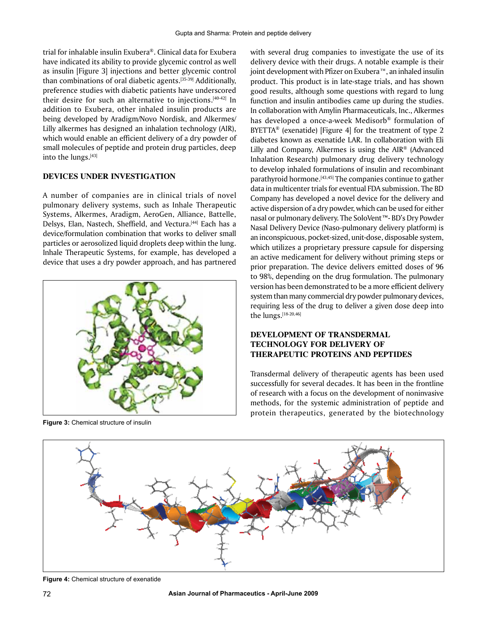trial for inhalable insulin Exubera®. Clinical data for Exubera have indicated its ability to provide glycemic control as well as insulin [Figure 3] injections and better glycemic control than combinations of oral diabetic agents.[35-39] Additionally, preference studies with diabetic patients have underscored their desire for such an alternative to injections.<sup>[40-42]</sup> In addition to Exubera, other inhaled insulin products are being developed by Aradigm/Novo Nordisk, and Alkermes/ Lilly alkermes has designed an inhalation technology (AIR), which would enable an efficient delivery of a dry powder of small molecules of peptide and protein drug particles, deep into the lungs.[43]

#### **DEVICES UNDER INVESTIGATION**

A number of companies are in clinical trials of novel pulmonary delivery systems, such as Inhale Therapeutic Systems, Alkermes, Aradigm, AeroGen, Alliance, Battelle, Delsys, Elan, Nastech, Sheffield, and Vectura.<sup>[44]</sup> Each has a device/formulation combination that works to deliver small particles or aerosolized liquid droplets deep within the lung. Inhale Therapeutic Systems, for example, has developed a device that uses a dry powder approach, and has partnered



**Figure 3:** Chemical structure of insulin

with several drug companies to investigate the use of its delivery device with their drugs. A notable example is their joint development with Pfizer on Exubera™, an inhaled insulin product. This product is in late-stage trials, and has shown good results, although some questions with regard to lung function and insulin antibodies came up during the studies. In collaboration with Amylin Pharmaceuticals, Inc., Alkermes has developed a once-a-week Medisorb® formulation of BYETTA® (exenatide) [Figure 4] for the treatment of type 2 diabetes known as exenatide LAR. In collaboration with Eli Lilly and Company, Alkermes is using the AIR® (Advanced Inhalation Research) pulmonary drug delivery technology to develop inhaled formulations of insulin and recombinant parathyroid hormone.<sup>[43,45]</sup> The companies continue to gather data in multicenter trials for eventual FDA submission. The BD Company has developed a novel device for the delivery and active dispersion of a dry powder, which can be used for either nasal or pulmonary delivery. The SoloVent**™**- BD's Dry Powder Nasal Delivery Device (Naso-pulmonary delivery platform) is an inconspicuous, pocket-sized, unit-dose, disposable system, which utilizes a proprietary pressure capsule for dispersing an active medicament for delivery without priming steps or prior preparation. The device delivers emitted doses of 96 to 98%, depending on the drug formulation. The pulmonary version has been demonstrated to be a more efficient delivery system than many commercial dry powder pulmonary devices, requiring less of the drug to deliver a given dose deep into the lungs.[18-20,46]

# **DEVELOPMENT OF TRANSDERMAL TECHNOLOGY FOR DELIVERY OF THERAPEUTIC PROTEINS AND PEPTIDES**

Transdermal delivery of therapeutic agents has been used successfully for several decades. It has been in the frontline of research with a focus on the development of noninvasive methods, for the systemic administration of peptide and protein therapeutics, generated by the biotechnology



**Figure 4:** Chemical structure of exenatide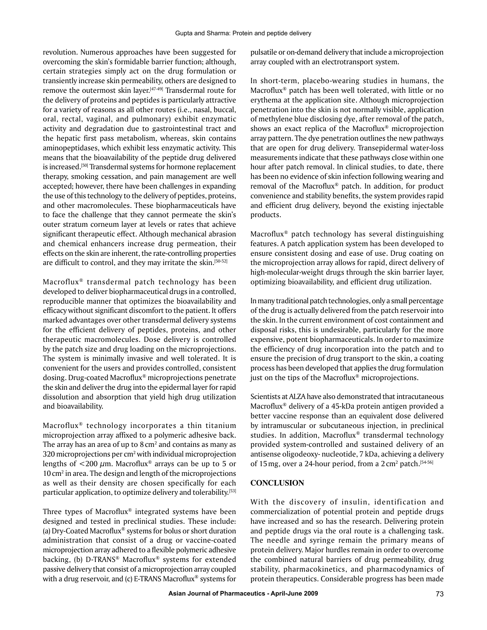revolution. Numerous approaches have been suggested for overcoming the skin's formidable barrier function; although, certain strategies simply act on the drug formulation or transiently increase skin permeability, others are designed to remove the outermost skin layer.<sup>[47-49]</sup> Transdermal route for the delivery of proteins and peptides is particularly attractive for a variety of reasons as all other routes (i.e., nasal, buccal, oral, rectal, vaginal, and pulmonary) exhibit enzymatic activity and degradation due to gastrointestinal tract and the hepatic first pass metabolism, whereas, skin contains aminopeptidases, which exhibit less enzymatic activity. This means that the bioavailability of the peptide drug delivered is increased.<sup>[50]</sup> Transdermal systems for hormone replacement therapy, smoking cessation, and pain management are well accepted; however, there have been challenges in expanding the use of this technology to the delivery of peptides, proteins, and other macromolecules. These biopharmaceuticals have to face the challenge that they cannot permeate the skin's outer stratum corneum layer at levels or rates that achieve significant therapeutic effect. Although mechanical abrasion and chemical enhancers increase drug permeation, their effects on the skin are inherent, the rate-controlling properties are difficult to control, and they may irritate the skin.<sup>[50-52]</sup>

Macroflux® transdermal patch technology has been developed to deliver biopharmaceutical drugs in a controlled, reproducible manner that optimizes the bioavailability and efficacy without significant discomfort to the patient. It offers marked advantages over other transdermal delivery systems for the efficient delivery of peptides, proteins, and other therapeutic macromolecules. Dose delivery is controlled by the patch size and drug loading on the microprojections. The system is minimally invasive and well tolerated. It is convenient for the users and provides controlled, consistent dosing. Drug-coated Macroflux® microprojections penetrate the skin and deliver the drug into the epidermal layer for rapid dissolution and absorption that yield high drug utilization and bioavailability.

Macroflux® technology incorporates a thin titanium microprojection array affixed to a polymeric adhesive back. The array has an area of up to  $8 \text{ cm}^2$  and contains as many as 320 microprojections per cm<sup>2</sup> with individual microprojection lengths of  $\langle 200 \mu m$ . Macroflux® arrays can be up to 5 or 10cm2 in area. The design and length of the microprojections as well as their density are chosen specifically for each particular application, to optimize delivery and tolerability.[53]

Three types of Macroflux® integrated systems have been designed and tested in preclinical studies. These include: (a) Dry-Coated Macroflux® systems for bolus or short duration administration that consist of a drug or vaccine-coated microprojection array adhered to a flexible polymeric adhesive backing, (b) D-TRANS® Macroflux® systems for extended passive delivery that consist of a microprojection array coupled with a drug reservoir, and (c) E-TRANS Macroflux® systems for pulsatile or on-demand delivery that include a microprojection array coupled with an electrotransport system.

In short-term, placebo-wearing studies in humans, the Macroflux® patch has been well tolerated, with little or no erythema at the application site. Although microprojection penetration into the skin is not normally visible, application of methylene blue disclosing dye, after removal of the patch, shows an exact replica of the Macroflux® microprojection array pattern. The dye penetration outlines the new pathways that are open for drug delivery. Transepidermal water-loss measurements indicate that these pathways close within one hour after patch removal. In clinical studies, to date, there has been no evidence of skin infection following wearing and removal of the Macroflux® patch. In addition, for product convenience and stability benefits, the system provides rapid and efficient drug delivery, beyond the existing injectable products.

Macroflux® patch technology has several distinguishing features. A patch application system has been developed to ensure consistent dosing and ease of use. Drug coating on the microprojection array allows for rapid, direct delivery of high-molecular-weight drugs through the skin barrier layer, optimizing bioavailability, and efficient drug utilization.

In many traditional patch technologies, only a small percentage of the drug is actually delivered from the patch reservoir into the skin. In the current environment of cost containment and disposal risks, this is undesirable, particularly for the more expensive, potent biopharmaceuticals. In order to maximize the efficiency of drug incorporation into the patch and to ensure the precision of drug transport to the skin, a coating process has been developed that applies the drug formulation just on the tips of the Macroflux<sup>®</sup> microprojections.

Scientists at ALZA have also demonstrated that intracutaneous Macroflux® delivery of a 45-kDa protein antigen provided a better vaccine response than an equivalent dose delivered by intramuscular or subcutaneous injection, in preclinical studies. In addition, Macroflux® transdermal technology provided system-controlled and sustained delivery of an antisense oligodeoxy- nucleotide, 7 kDa, achieving a delivery of 15 mg, over a 24-hour period, from a 2 cm<sup>2</sup> patch.<sup>[54-56]</sup>

### **CONCLUSION**

With the discovery of insulin, identification and commercialization of potential protein and peptide drugs have increased and so has the research. Delivering protein and peptide drugs via the oral route is a challenging task. The needle and syringe remain the primary means of protein delivery. Major hurdles remain in order to overcome the combined natural barriers of drug permeability, drug stability, pharmacokinetics, and pharmacodynamics of protein therapeutics. Considerable progress has been made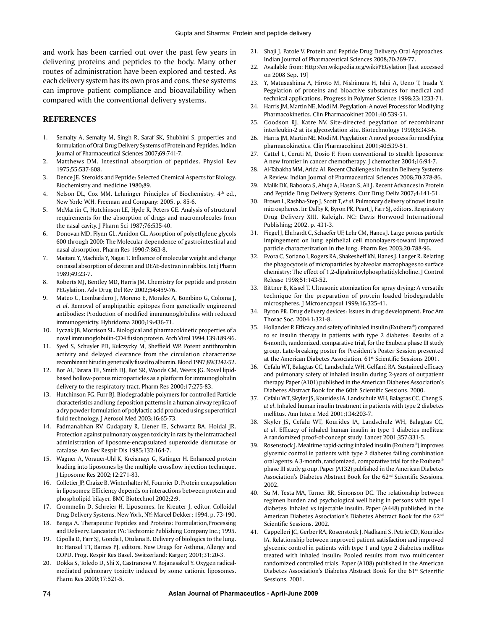and work has been carried out over the past few years in delivering proteins and peptides to the body. Many other routes of administration have been explored and tested. As each delivery system has its own pros and cons, these systems can improve patient compliance and bioavailability when compared with the conventional delivery systems.

#### **REFERENCES**

- 1. Semalty A, Semalty M, Singh R, Saraf SK, Shubhini S. properties and formulation of Oral Drug Delivery Systems of Protein and Peptides. Indian Journal of Pharmaceutical Sciences 2007;69:741-7.
- 2. Matthews DM. Intestinal absorption of peptides. Physiol Rev 1975;55:537-608.
- 3. Dence JE. Steroids and Peptide: Selected Chemical Aspects for Biology. Biochemistry and medicine 1980;89.
- 4. Nelson DL, Cox MM. Lehninger Principles of Biochemistry. 4th ed., New York: W.H. Freeman and Company: 2005. p. 85-6.
- 5. McMartin C, Hutchinson LE, Hyde R, Peters GE. Analysis of structural requirements for the absorption of drugs and macromolecules from the nasal cavity. J Pharm Sci 1987;76:535-40.
- 6. Donovan MD, Flynn GL, Amidon GL. Asorption of polyethylene glycols 600 through 2000: The Molecular dependence of gastrointestinal and nasal absorption. Pharm Res 1990:7:863-8.
- 7. Maitani Y, Machida Y, Nagai T. Influence of molecular weight and charge on nasal absorption of dextran and DEAE-dextran in rabbits. Int j Pharm 1989;49:23-7.
- 8. Roberts MJ, Bentley MD, Harris JM. Chemistry for peptide and protein PEGylation. Adv Drug Del Rev 2002;54:459-76.
- Mateo C, Lombardero J, Moreno E, Morales A, Bombino G, Coloma J, *et al*. Removal of amphipathic epitopes from genetically engineered antibodies: Production of modified immmunoglobulins with reduced immunogenicity. Hybridoma 2000;19:436-71.
- 10. Lyczak JB, Morrison SL. Biological and pharmacokinetic properties of a novel immunoglobulin-CD4 fusion protein. Arch Virol 1994;139:189-96.
- 11. Syed S, Schuyler PD, Kulczycky M, Sheffield WP. Potent antithrombin activity and delayed clearance from the circulation characterize recombinant hirudin genetically fused to albumin. Blood 1997;89:3242-52.
- 12. Bot AI, Tarara TE, Smith DJ, Bot SR, Woods CM, Weers JG. Novel lipidbased hollow-porous microparticles as a platform for immunoglobulin delivery to the respiratory tract. Pharm Res 2000;17:275-83.
- 13. Hutchinson FG, Furr BJ. Biodegradable polymers for controlled Particle characteristics and lung deposition patterns in a human airway replica of a dry powder formulation of polylactic acid produced using supercritical fluid technology. J Aerosol Med 2003;16:65-73.
- 14. Padmanabhan RV, Gudapaty R, Liener IE, Schwartz BA, Hoidal JR. Protection against pulmonary oxygen toxicity in rats by the intratracheal administration of liposome-encapsulated superoxide dismutase or catalase. Am Rev Respir Dis 1985;132:164-7.
- 15. Wagner A, Vorauer-Uhl K, Kreismayr G, Katinger H. Enhanced protein loading into liposomes by the multiple crossflow injection technique. J Liposome Res 2002;12:271-83.
- 16. Colletier JP, Chaize B, Winterhalter M, Fournier D. Protein encapsulation in liposomes: Efficiency depends on interactions between protein and phospholipid bilayer. BMC Biotechnol 2002;2:9.
- 17. Crommelin D, Schreier H. Liposomes. In: Kreuter J, editor. Colloidal Drug Delivery Systems. New York, NY: Marcel Dekker; 1994. p. 73-190.
- 18. Banga A. Therapeutic Peptides and Proteins: Formulation,Processing and Delivery. Lancaster, PA: Techtomic Publishing Company Inc.; 1995.
- 19. Cipolla D, Farr SJ, Gonda I, Otulana B. Delivery of biologics to the lung. In: Hansel TT, Barnes PJ, editors. New Drugs for Asthma, Allergy and COPD. Prog. Respir Res Basel. Switzerland: Karger; 2001;31:20-3.
- 20. Dokka S, Toledo D, Shi X, Castranova V, Rojanasakul Y. Oxygen radicalmediated pulmonary toxicity induced by some cationic liposomes. Pharm Res 2000;17:521-5.
- 21. Shaji J, Patole V. Protein and Peptide Drug Delivery: Oral Approaches. Indian Journal of Pharmaceutical Sciences 2008;70:269-77.
- 22. Available from: Http://en.wikipedia.org/wiki/PEGylation [last accessed on 2008 Sep. 19]
- 23. Y, Matusushima A, Hiroto M, Nishimura H, Ishii A, Ueno T, Inada Y. Pegylation of proteins and bioactive substances for medical and technical applications. Progress in Polymer Science 1998;23:1233-71.
- 24. Harris JM, Martin NE, Modi M. Pegylation: A novel Process for Modifying Pharmacokinetics. Clin Pharmacokinet 2001;40:539-51.
- 25. Goodson RJ, Katre NV. Site-directed pegylation of recombinant interleukin-2 at its glycosylation site. Biotechnology 1990;8:343-6.
- 26. Harris JM, Martin NE, Modi M. Pegylation: A novel process for modifying pharmacokinetics. Clin Pharmacokinet 2001;40:539-51.
- 27. Cattel L, Ceruti M, Dosio F. From conventional to stealth liposomes: A new frontier in cancer chemotherapy. J chemother 2004;16:94-7.
- 28. Al-Tabakha MM, Arida AI. Recent Challenges in Insulin Delivery Systems: A Review. Indian Journal of Pharmaceutical Sciences 2008;70:278-86.
- 29. Malik DK, Baboota S, Ahuja A, Hasan S, Ali J. Recent Advances in Protein and Peptide Drug Delivery Systems. Curr Drug Deliv 2007;4:141-51.
- 30. Brown L, Rashba-Step J, Scott T, *et al*. Pulmonary delivery of novel insulin microspheres. In: Dalby R, Byron PR, Peart J, Farr SJ, editors. Respiratory Drug Delivery XIII. Raleigh. NC: Davis Horwood International Publishing; 2002. p. 431-3.
- 31. Fiegel J, Ehrhardt C, Schaefer UF, Lehr CM, Hanes J. Large porous particle impingement on lung epithelial cell monolayers-toward improved particle characterization in the lung. Pharm Res 2003;20:788-96.
- 32. Evora C, Soriano I, Rogers RA, Shakesheff KN, Hanes J, Langer R. Relating the phagocytosis of microparticles by alveolar macrophages to surface chemistry: The effect of 1,2-dipalmitoylphosphatidylcholine. J Control Release 1998;51:143-52.
- 33. Bittner B, Kissel T. Ultrasonic atomization for spray drying: A versatile technique for the preparation of protein loaded biodegradable microspheres. J Microencapsul 1999;16:325-41.
- 34. Byron PR. Drug delivery devices: Issues in drug development. Proc Am Thorac Soc. 2004;1:321-8.
- 35. Hollander P. Efficacy and safety of inhaled insulin (Exubera®) compared to sc insulin therapy in patients with type 2 diabetes: Results of a 6-month, randomized, comparative trial, for the Exubera phase III study group. Late-breaking poster for President's Poster Session presented at the American Diabetes Association. 61st Scientific Sessions 2001.
- 36. Cefalu WT, Balagtas CC, Landschulz WH, Gelfand RA. Sustained efficacy and pulmonary safety of inhaled insulin during 2-years of outpatient therapy. Paper (A101) published in the American Diabetes Association's Diabetes Abstract Book for the 60th Scientific Sessions. 2000.
- 37. Cefalu WT, Skyler JS, Kourides IA, Landschulz WH, Balagtas CC, Cheng S, *et al*. Inhaled human insulin treatment in patients with type 2 diabetes mellitus. Ann Intern Med 2001;134:203-7.
- 38. Skyler JS, Cefalu WT, Kourides IA, Landschulz WH, Balagtas CC, *et al*. Efficacy of inhaled human insulin in type 1 diabetes mellitus: A randomized proof-of-concept study. Lancet 2001;357:331-5.
- 39. Rosenstock J. Mealtime rapid-acting inhaled insulin (Exubera®) improves glycemic control in patients with type 2 diabetes failing combination oral agents: A 3-month, randomized, comparative trial for the Exubera® phase III study group. Paper (A132) published in the American Diabetes Association's Diabetes Abstract Book for the 62nd Scientific Sessions. 2002.
- 40. Su M, Testa MA, Turner RR, Simonson DC. The relationship between regimen burden and psychological well being in persons with type I diabetes: Inhaled vs injectable insulin. Paper (A448) published in the American Diabetes Association's Diabetes Abstract Book for the 62<sup>nd</sup> Scientific Sessions. 2002.
- 41. Cappelleri JC, Gerber RA, Rosenstock J, Nadkami S, Petrie CD, Kourides IA. Relationship between improved patient satisfaction and improved glycemic control in patients with type 1 and type 2 diabetes mellitus treated with inhaled insulin: Pooled results from two multicenter randomized controlled trials. Paper (A108) published in the American Diabetes Association's Diabetes Abstract Book for the 61<sup>st</sup> Scientific Sessions. 2001.